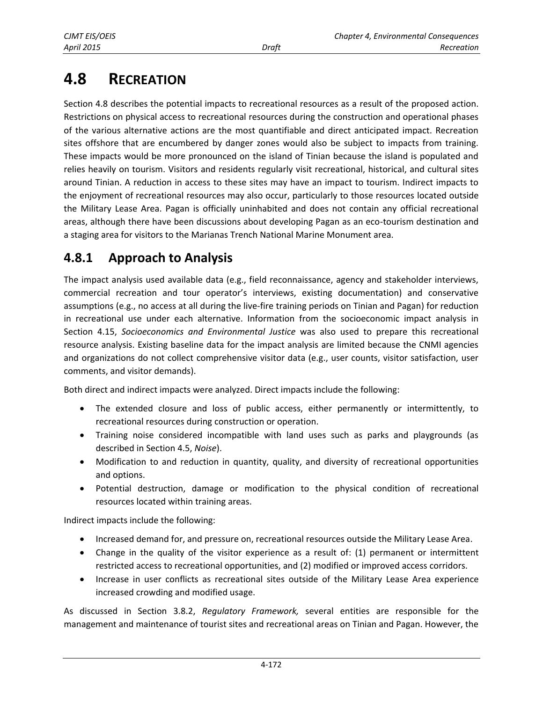# **4.8 RECREATION**

Section 4.8 describes the potential impacts to recreational resources as a result of the proposed action. Restrictions on physical access to recreational resources during the construction and operational phases of the various alternative actions are the most quantifiable and direct anticipated impact. Recreation sites offshore that are encumbered by danger zones would also be subject to impacts from training. These impacts would be more pronounced on the island of Tinian because the island is populated and relies heavily on tourism. Visitors and residents regularly visit recreational, historical, and cultural sites around Tinian. A reduction in access to these sites may have an impact to tourism. Indirect impacts to the enjoyment of recreational resources may also occur, particularly to those resources located outside the Military Lease Area. Pagan is officially uninhabited and does not contain any official recreational areas, although there have been discussions about developing Pagan as an eco-tourism destination and a staging area for visitors to the Marianas Trench National Marine Monument area.

# **4.8.1 Approach to Analysis**

The impact analysis used available data (e.g., field reconnaissance, agency and stakeholder interviews, commercial recreation and tour operator's interviews, existing documentation) and conservative assumptions (e.g., no access at all during the live-fire training periods on Tinian and Pagan) for reduction in recreational use under each alternative. Information from the socioeconomic impact analysis in Section 4.15, *Socioeconomics and Environmental Justice* was also used to prepare this recreational resource analysis. Existing baseline data for the impact analysis are limited because the CNMI agencies and organizations do not collect comprehensive visitor data (e.g., user counts, visitor satisfaction, user comments, and visitor demands).

Both direct and indirect impacts were analyzed. Direct impacts include the following:

- The extended closure and loss of public access, either permanently or intermittently, to recreational resources during construction or operation.
- Training noise considered incompatible with land uses such as parks and playgrounds (as described in Section 4.5, *Noise*).
- Modification to and reduction in quantity, quality, and diversity of recreational opportunities and options.
- Potential destruction, damage or modification to the physical condition of recreational resources located within training areas.

Indirect impacts include the following:

- **Increased demand for, and pressure on, recreational resources outside the Military Lease Area.**
- Change in the quality of the visitor experience as a result of: (1) permanent or intermittent restricted access to recreational opportunities, and (2) modified or improved access corridors.
- Increase in user conflicts as recreational sites outside of the Military Lease Area experience increased crowding and modified usage.

As discussed in Section 3.8.2, *Regulatory Framework,* several entities are responsible for the management and maintenance of tourist sites and recreational areas on Tinian and Pagan. However, the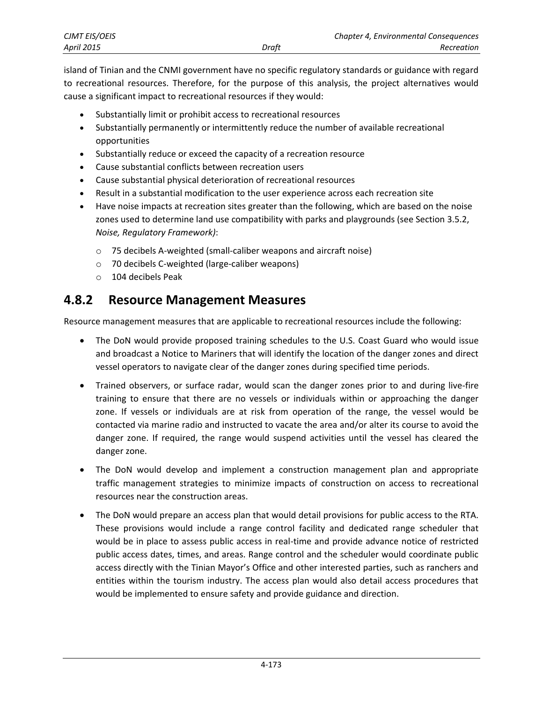<span id="page-1-0"></span>

| CJMT EIS/OEIS     |       | <b>Chapter 4, Environmental Consequences</b> |
|-------------------|-------|----------------------------------------------|
| <b>April 2015</b> | Draft | Recreation                                   |

island of Tinian and the CNMI government have no specific regulatory standards or guidance with regard to recreational resources. Therefore, for the purpose of this analysis, the project alternatives would cause a significant impact to recreational resources if they would:

- Substantially limit or prohibit access to recreational resources
- Substantially permanently or intermittently reduce the number of available recreational opportunities
- Substantially reduce or exceed the capacity of a recreation resource
- Cause substantial conflicts between recreation users
- Cause substantial physical deterioration of recreational resources
- Result in a substantial modification to the user experience across each recreation site
- Have noise impacts at recreation sites greater than the following, which are based on the noise zones used to determine land use compatibility with parks and playgrounds (see Section 3.5.2, *Noise, Regulatory Framework)*:
	- o 75 decibels A-weighted (small-caliber weapons and aircraft noise)
	- o 70 decibels C-weighted (large-caliber weapons)
	- o 104 decibels Peak

# **4.8.2 Resource Management Measures**

Resource management measures that are applicable to recreational resources include the following:

- The DoN would provide proposed training schedules to the U.S. Coast Guard who would issue and broadcast a Notice to Mariners that will identify the location of the danger zones and direct vessel operators to navigate clear of the danger zones during specified time periods.
- Trained observers, or surface radar, would scan the danger zones prior to and during live-fire training to ensure that there are no vessels or individuals within or approaching the danger zone. If vessels or individuals are at risk from operation of the range, the vessel would be contacted via marine radio and instructed to vacate the area and/or alter its course to avoid the danger zone. If required, the range would suspend activities until the vessel has cleared the danger zone.
- The DoN would develop and implement a construction management plan and appropriate traffic management strategies to minimize impacts of construction on access to recreational resources near the construction areas.
- The DoN would prepare an access plan that would detail provisions for public access to the RTA. These provisions would include a range control facility and dedicated range scheduler that would be in place to assess public access in real-time and provide advance notice of restricted public access dates, times, and areas. Range control and the scheduler would coordinate public access directly with the Tinian Mayor's Office and other interested parties, such as ranchers and entities within the tourism industry. The access plan would also detail access procedures that would be implemented to ensure safety and provide guidance and direction.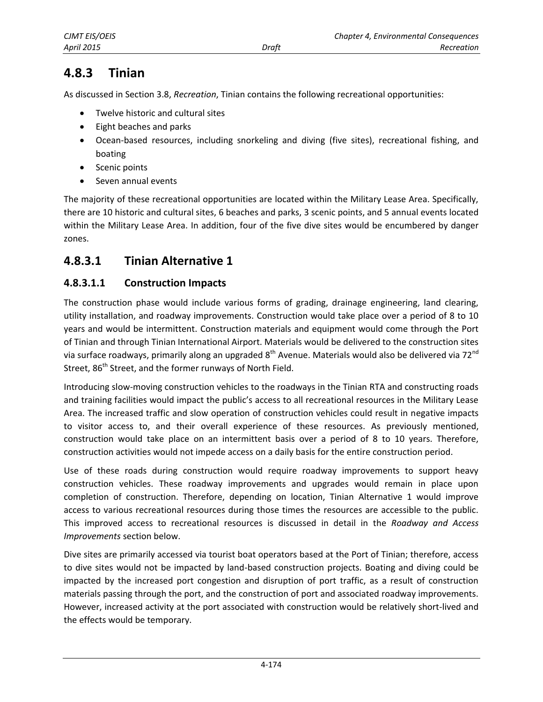# <span id="page-2-0"></span>**4.8.3 Tinian**

As discussed in Section 3.8, *Recreation*, Tinian contains the following recreational opportunities:

- Twelve historic and cultural sites
- Eight beaches and parks
- Ocean-based resources, including snorkeling and diving (five sites), recreational fishing, and boating
- Scenic points
- Seven annual events

The majority of these recreational opportunities are located within the Military Lease Area. Specifically, there are 10 historic and cultural sites, 6 beaches and parks, 3 scenic points, and 5 annual events located within the Military Lease Area. In addition, four of the five dive sites would be encumbered by danger zones.

## **4.8.3.1 Tinian Alternative 1**

### **4.8.3.1.1 Construction Impacts**

The construction phase would include various forms of grading, drainage engineering, land clearing, utility installation, and roadway improvements. Construction would take place over a period of 8 to 10 years and would be intermittent. Construction materials and equipment would come through the Port of Tinian and through Tinian International Airport. Materials would be delivered to the construction sites via surface roadways, primarily along an upgraded 8<sup>th</sup> Avenue. Materials would also be delivered via 72<sup>nd</sup> Street, 86<sup>th</sup> Street, and the former runways of North Field.

Introducing slow-moving construction vehicles to the roadways in the Tinian RTA and constructing roads and training facilities would impact the public's access to all recreational resources in the Military Lease Area. The increased traffic and slow operation of construction vehicles could result in negative impacts to visitor access to, and their overall experience of these resources. As previously mentioned, construction would take place on an intermittent basis over a period of 8 to 10 years. Therefore, construction activities would not impede access on a daily basis for the entire construction period.

Use of these roads during construction would require roadway improvements to support heavy construction vehicles. These roadway improvements and upgrades would remain in place upon completion of construction. Therefore, depending on location, Tinian Alternative 1 would improve access to various recreational resources during those times the resources are accessible to the public. This improved access to recreational resources is discussed in detail in the *Roadway and Access Improvements* section below.

Dive sites are primarily accessed via tourist boat operators based at the Port of Tinian; therefore, access to dive sites would not be impacted by land-based construction projects. Boating and diving could be impacted by the increased port congestion and disruption of port traffic, as a result of construction materials passing through the port, and the construction of port and associated roadway improvements. However, increased activity at the port associated with construction would be relatively short-lived and the effects would be temporary.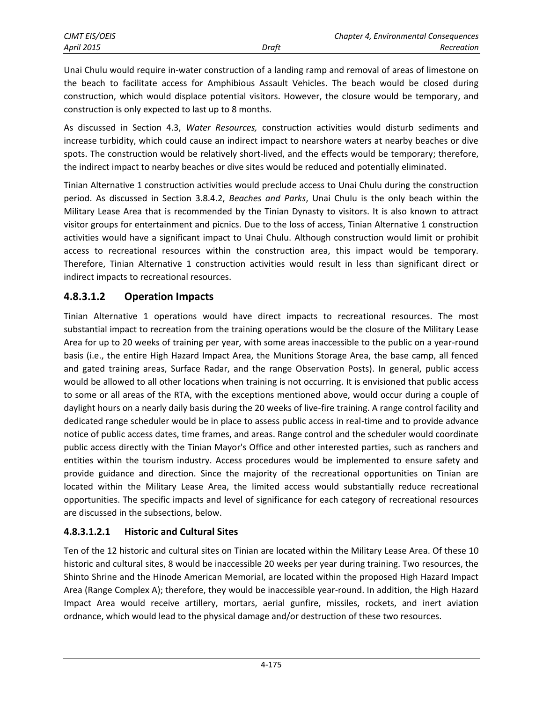Unai Chulu would require in-water construction of a landing ramp and removal of areas of limestone on the beach to facilitate access for Amphibious Assault Vehicles. The beach would be closed during construction, which would displace potential visitors. However, the closure would be temporary, and construction is only expected to last up to 8 months.

As discussed in Section 4.3, *Water Resources,* construction activities would disturb sediments and increase turbidity, which could cause an indirect impact to nearshore waters at nearby beaches or dive spots. The construction would be relatively short-lived, and the effects would be temporary; therefore, the indirect impact to nearby beaches or dive sites would be reduced and potentially eliminated.

Tinian Alternative 1 construction activities would preclude access to Unai Chulu during the construction period. As discussed in Section 3.8.4.2, *Beaches and Parks*, Unai Chulu is the only beach within the Military Lease Area that is recommended by the Tinian Dynasty to visitors. It is also known to attract visitor groups for entertainment and picnics. Due to the loss of access, Tinian Alternative 1 construction activities would have a significant impact to Unai Chulu. Although construction would limit or prohibit access to recreational resources within the construction area, this impact would be temporary. Therefore, Tinian Alternative 1 construction activities would result in less than significant direct or indirect impacts to recreational resources.

## **4.8.3.1.2 Operation Impacts**

Tinian Alternative 1 operations would have direct impacts to recreational resources. The most substantial impact to recreation from the training operations would be the closure of the Military Lease Area for up to 20 weeks of training per year, with some areas inaccessible to the public on a year-round basis (i.e., the entire High Hazard Impact Area, the Munitions Storage Area, the base camp, all fenced and gated training areas, Surface Radar, and the range Observation Posts). In general, public access would be allowed to all other locations when training is not occurring. It is envisioned that public access to some or all areas of the RTA, with the exceptions mentioned above, would occur during a couple of daylight hours on a nearly daily basis during the 20 weeks of live-fire training. A range control facility and dedicated range scheduler would be in place to assess public access in real-time and to provide advance notice of public access dates, time frames, and areas. Range control and the scheduler would coordinate public access directly with the Tinian Mayor's Office and other interested parties, such as ranchers and entities within the tourism industry. Access procedures would be implemented to ensure safety and provide guidance and direction. Since the majority of the recreational opportunities on Tinian are located within the Military Lease Area, the limited access would substantially reduce recreational opportunities. The specific impacts and level of significance for each category of recreational resources are discussed in the subsections, below.

### <span id="page-3-0"></span>**4.8.3.1.2.1 Historic and Cultural Sites**

Ten of the 12 historic and cultural sites on Tinian are located within the Military Lease Area. Of these 10 historic and cultural sites, 8 would be inaccessible 20 weeks per year during training. Two resources, the Shinto Shrine and the Hinode American Memorial, are located within the proposed High Hazard Impact Area (Range Complex A); therefore, they would be inaccessible year-round. In addition, the High Hazard Impact Area would receive artillery, mortars, aerial gunfire, missiles, rockets, and inert aviation ordnance, which would lead to the physical damage and/or destruction of these two resources.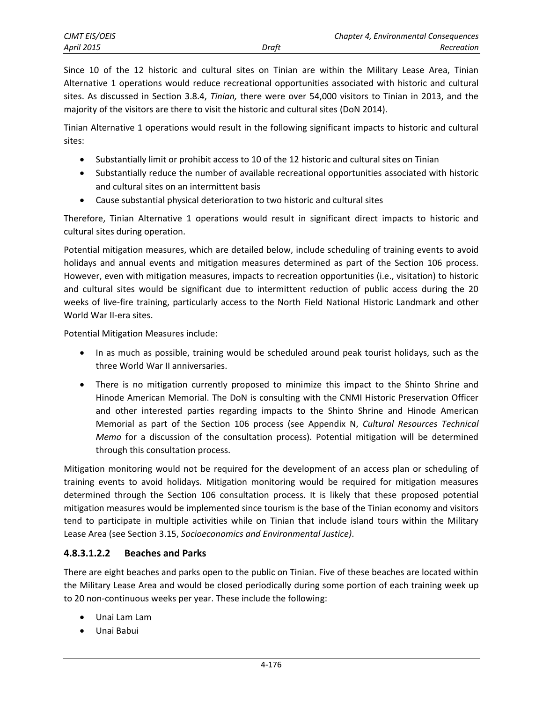Since 10 of the 12 historic and cultural sites on Tinian are within the Military Lease Area, Tinian Alternative 1 operations would reduce recreational opportunities associated with historic and cultural sites. As discussed in Section 3.8.4, *Tinian,* there were over 54,000 visitors to Tinian in 2013, and the majority of the visitors are there to visit the historic and cultural sites (DoN 2014).

Tinian Alternative 1 operations would result in the following significant impacts to historic and cultural sites:

- Substantially limit or prohibit access to 10 of the 12 historic and cultural sites on Tinian
- Substantially reduce the number of available recreational opportunities associated with historic and cultural sites on an intermittent basis
- Cause substantial physical deterioration to two historic and cultural sites

Therefore, Tinian Alternative 1 operations would result in significant direct impacts to historic and cultural sites during operation.

Potential mitigation measures, which are detailed below, include scheduling of training events to avoid holidays and annual events and mitigation measures determined as part of the Section 106 process. However, even with mitigation measures, impacts to recreation opportunities (i.e., visitation) to historic and cultural sites would be significant due to intermittent reduction of public access during the 20 weeks of live-fire training, particularly access to the North Field National Historic Landmark and other World War II-era sites.

Potential Mitigation Measures include:

- In as much as possible, training would be scheduled around peak tourist holidays, such as the three World War II anniversaries.
- There is no mitigation currently proposed to minimize this impact to the Shinto Shrine and Hinode American Memorial. The DoN is consulting with the CNMI Historic Preservation Officer and other interested parties regarding impacts to the Shinto Shrine and Hinode American Memorial as part of the Section 106 process (see Appendix N, *Cultural Resources Technical Memo* for a discussion of the consultation process). Potential mitigation will be determined through this consultation process.

Mitigation monitoring would not be required for the development of an access plan or scheduling of training events to avoid holidays. Mitigation monitoring would be required for mitigation measures determined through the Section 106 consultation process. It is likely that these proposed potential mitigation measures would be implemented since tourism is the base of the Tinian economy and visitors tend to participate in multiple activities while on Tinian that include island tours within the Military Lease Area (see Section 3.15, *Socioeconomics and Environmental Justice)*.

## **4.8.3.1.2.2 Beaches and Parks**

There are eight beaches and parks open to the public on Tinian. Five of these beaches are located within the Military Lease Area and would be closed periodically during some portion of each training week up to 20 non-continuous weeks per year. These include the following:

- Unai Lam Lam
- Unai Babui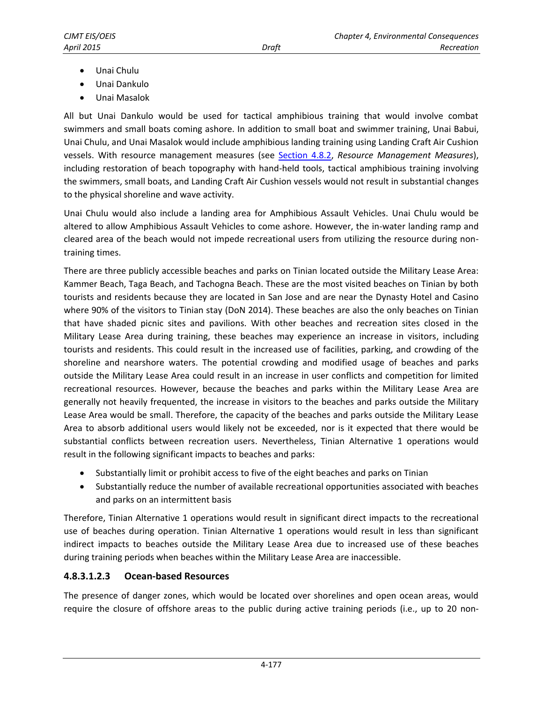- Unai Chulu
- Unai Dankulo
- Unai Masalok

All but Unai Dankulo would be used for tactical amphibious training that would involve combat swimmers and small boats coming ashore. In addition to small boat and swimmer training, Unai Babui, Unai Chulu, and Unai Masalok would include amphibious landing training using Landing Craft Air Cushion vessels. With resource management measures (see [Section 4.8.2,](#page-1-0) *Resource Management Measures*), including restoration of beach topography with hand-held tools, tactical amphibious training involving the swimmers, small boats, and Landing Craft Air Cushion vessels would not result in substantial changes to the physical shoreline and wave activity.

Unai Chulu would also include a landing area for Amphibious Assault Vehicles. Unai Chulu would be altered to allow Amphibious Assault Vehicles to come ashore. However, the in-water landing ramp and cleared area of the beach would not impede recreational users from utilizing the resource during nontraining times.

There are three publicly accessible beaches and parks on Tinian located outside the Military Lease Area: Kammer Beach, Taga Beach, and Tachogna Beach. These are the most visited beaches on Tinian by both tourists and residents because they are located in San Jose and are near the Dynasty Hotel and Casino where 90% of the visitors to Tinian stay (DoN 2014). These beaches are also the only beaches on Tinian that have shaded picnic sites and pavilions. With other beaches and recreation sites closed in the Military Lease Area during training, these beaches may experience an increase in visitors, including tourists and residents. This could result in the increased use of facilities, parking, and crowding of the shoreline and nearshore waters. The potential crowding and modified usage of beaches and parks outside the Military Lease Area could result in an increase in user conflicts and competition for limited recreational resources. However, because the beaches and parks within the Military Lease Area are generally not heavily frequented, the increase in visitors to the beaches and parks outside the Military Lease Area would be small. Therefore, the capacity of the beaches and parks outside the Military Lease Area to absorb additional users would likely not be exceeded, nor is it expected that there would be substantial conflicts between recreation users. Nevertheless, Tinian Alternative 1 operations would result in the following significant impacts to beaches and parks:

- Substantially limit or prohibit access to five of the eight beaches and parks on Tinian
- Substantially reduce the number of available recreational opportunities associated with beaches and parks on an intermittent basis

Therefore, Tinian Alternative 1 operations would result in significant direct impacts to the recreational use of beaches during operation. Tinian Alternative 1 operations would result in less than significant indirect impacts to beaches outside the Military Lease Area due to increased use of these beaches during training periods when beaches within the Military Lease Area are inaccessible.

### **4.8.3.1.2.3 Ocean-based Resources**

The presence of danger zones, which would be located over shorelines and open ocean areas, would require the closure of offshore areas to the public during active training periods (i.e., up to 20 non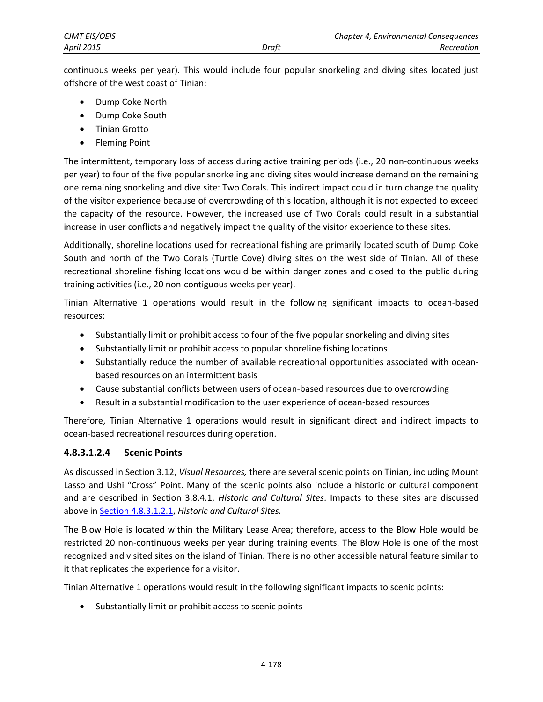continuous weeks per year). This would include four popular snorkeling and diving sites located just offshore of the west coast of Tinian:

- Dump Coke North
- Dump Coke South
- **•** Tinian Grotto
- Fleming Point

The intermittent, temporary loss of access during active training periods (i.e., 20 non-continuous weeks per year) to four of the five popular snorkeling and diving sites would increase demand on the remaining one remaining snorkeling and dive site: Two Corals. This indirect impact could in turn change the quality of the visitor experience because of overcrowding of this location, although it is not expected to exceed the capacity of the resource. However, the increased use of Two Corals could result in a substantial increase in user conflicts and negatively impact the quality of the visitor experience to these sites.

Additionally, shoreline locations used for recreational fishing are primarily located south of Dump Coke South and north of the Two Corals (Turtle Cove) diving sites on the west side of Tinian. All of these recreational shoreline fishing locations would be within danger zones and closed to the public during training activities (i.e., 20 non-contiguous weeks per year).

Tinian Alternative 1 operations would result in the following significant impacts to ocean-based resources:

- Substantially limit or prohibit access to four of the five popular snorkeling and diving sites
- Substantially limit or prohibit access to popular shoreline fishing locations
- Substantially reduce the number of available recreational opportunities associated with oceanbased resources on an intermittent basis
- Cause substantial conflicts between users of ocean-based resources due to overcrowding
- Result in a substantial modification to the user experience of ocean-based resources

Therefore, Tinian Alternative 1 operations would result in significant direct and indirect impacts to ocean-based recreational resources during operation.

### **4.8.3.1.2.4 Scenic Points**

As discussed in Section 3.12, *Visual Resources,* there are several scenic points on Tinian, including Mount Lasso and Ushi "Cross" Point. Many of the scenic points also include a historic or cultural component and are described in Section 3.8.4.1, *Historic and Cultural Sites*. Impacts to these sites are discussed above i[n Section 4.8.3.1.2.1,](#page-3-0) *Historic and Cultural Sites.*

The Blow Hole is located within the Military Lease Area; therefore, access to the Blow Hole would be restricted 20 non-continuous weeks per year during training events. The Blow Hole is one of the most recognized and visited sites on the island of Tinian. There is no other accessible natural feature similar to it that replicates the experience for a visitor.

Tinian Alternative 1 operations would result in the following significant impacts to scenic points:

Substantially limit or prohibit access to scenic points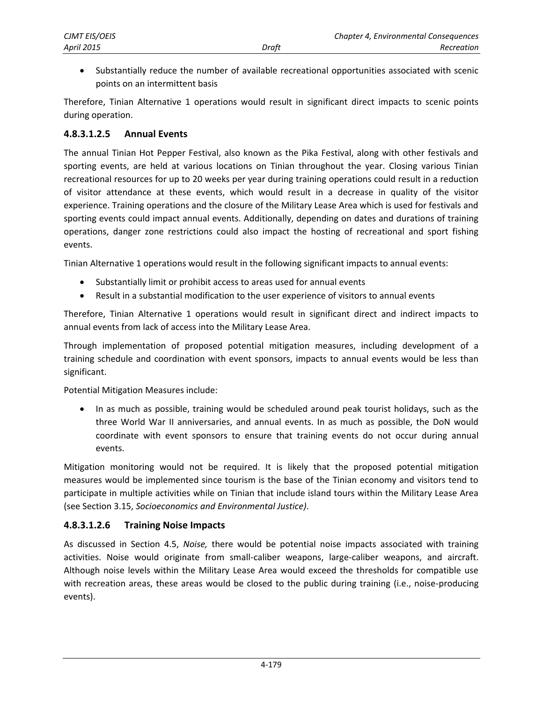Substantially reduce the number of available recreational opportunities associated with scenic points on an intermittent basis

Therefore, Tinian Alternative 1 operations would result in significant direct impacts to scenic points during operation.

### **4.8.3.1.2.5 Annual Events**

The annual Tinian Hot Pepper Festival, also known as the Pika Festival, along with other festivals and sporting events, are held at various locations on Tinian throughout the year. Closing various Tinian recreational resources for up to 20 weeks per year during training operations could result in a reduction of visitor attendance at these events, which would result in a decrease in quality of the visitor experience. Training operations and the closure of the Military Lease Area which is used for festivals and sporting events could impact annual events. Additionally, depending on dates and durations of training operations, danger zone restrictions could also impact the hosting of recreational and sport fishing events.

Tinian Alternative 1 operations would result in the following significant impacts to annual events:

- Substantially limit or prohibit access to areas used for annual events
- Result in a substantial modification to the user experience of visitors to annual events

Therefore, Tinian Alternative 1 operations would result in significant direct and indirect impacts to annual events from lack of access into the Military Lease Area.

Through implementation of proposed potential mitigation measures, including development of a training schedule and coordination with event sponsors, impacts to annual events would be less than significant.

Potential Mitigation Measures include:

 In as much as possible, training would be scheduled around peak tourist holidays, such as the three World War II anniversaries, and annual events. In as much as possible, the DoN would coordinate with event sponsors to ensure that training events do not occur during annual events.

Mitigation monitoring would not be required. It is likely that the proposed potential mitigation measures would be implemented since tourism is the base of the Tinian economy and visitors tend to participate in multiple activities while on Tinian that include island tours within the Military Lease Area (see Section 3.15, *Socioeconomics and Environmental Justice)*.

### **4.8.3.1.2.6 Training Noise Impacts**

As discussed in Section 4.5, *Noise,* there would be potential noise impacts associated with training activities. Noise would originate from small-caliber weapons, large-caliber weapons, and aircraft. Although noise levels within the Military Lease Area would exceed the thresholds for compatible use with recreation areas, these areas would be closed to the public during training (i.e., noise-producing events).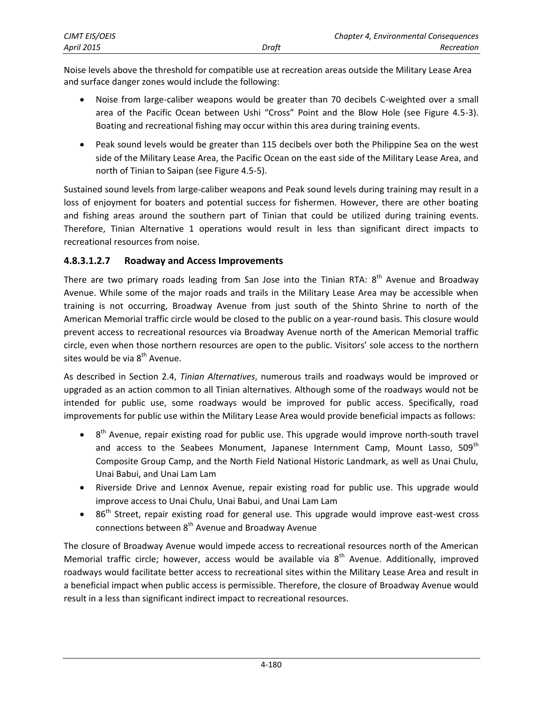| CJMT EIS/OEIS     |       | Chapter 4, Environmental Consequences |
|-------------------|-------|---------------------------------------|
| <b>April 2015</b> | Draft | Recreation                            |

Noise levels above the threshold for compatible use at recreation areas outside the Military Lease Area and surface danger zones would include the following:

- Noise from large-caliber weapons would be greater than 70 decibels C-weighted over a small area of the Pacific Ocean between Ushi "Cross" Point and the Blow Hole (see Figure 4.5-3). Boating and recreational fishing may occur within this area during training events.
- Peak sound levels would be greater than 115 decibels over both the Philippine Sea on the west side of the Military Lease Area, the Pacific Ocean on the east side of the Military Lease Area, and north of Tinian to Saipan (see Figure 4.5-5).

Sustained sound levels from large-caliber weapons and Peak sound levels during training may result in a loss of enjoyment for boaters and potential success for fishermen. However, there are other boating and fishing areas around the southern part of Tinian that could be utilized during training events. Therefore, Tinian Alternative 1 operations would result in less than significant direct impacts to recreational resources from noise.

### **4.8.3.1.2.7 Roadway and Access Improvements**

There are two primary roads leading from San Jose into the Tinian RTA:  $8<sup>th</sup>$  Avenue and Broadway Avenue. While some of the major roads and trails in the Military Lease Area may be accessible when training is not occurring, Broadway Avenue from just south of the Shinto Shrine to north of the American Memorial traffic circle would be closed to the public on a year-round basis. This closure would prevent access to recreational resources via Broadway Avenue north of the American Memorial traffic circle, even when those northern resources are open to the public. Visitors' sole access to the northern sites would be via  $8<sup>th</sup>$  Avenue.

As described in Section 2.4, *Tinian Alternatives*, numerous trails and roadways would be improved or upgraded as an action common to all Tinian alternatives. Although some of the roadways would not be intended for public use, some roadways would be improved for public access. Specifically, road improvements for public use within the Military Lease Area would provide beneficial impacts as follows:

- $\bullet$  8<sup>th</sup> Avenue, repair existing road for public use. This upgrade would improve north-south travel and access to the Seabees Monument, Japanese Internment Camp, Mount Lasso, 509<sup>th</sup> Composite Group Camp, and the North Field National Historic Landmark, as well as Unai Chulu, Unai Babui, and Unai Lam Lam
- Riverside Drive and Lennox Avenue, repair existing road for public use. This upgrade would improve access to Unai Chulu, Unai Babui, and Unai Lam Lam
- $\bullet$  86<sup>th</sup> Street, repair existing road for general use. This upgrade would improve east-west cross connections between 8<sup>th</sup> Avenue and Broadway Avenue

The closure of Broadway Avenue would impede access to recreational resources north of the American Memorial traffic circle; however, access would be available via  $8<sup>th</sup>$  Avenue. Additionally, improved roadways would facilitate better access to recreational sites within the Military Lease Area and result in a beneficial impact when public access is permissible. Therefore, the closure of Broadway Avenue would result in a less than significant indirect impact to recreational resources.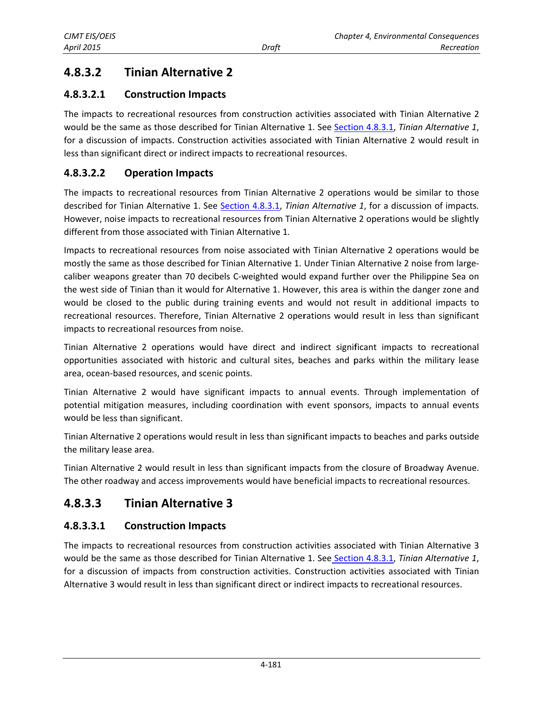#### <span id="page-9-0"></span>**4.8.3.2 Tinian Alternative 2**

#### **4.8.3.2.1** 1 **Construction Impacts**

The impacts to recreational resources from construction activities associated with Tinian Alternative 2 would be the same as those described for Tinian Alternative 1. See <u>Section 4.8.3.1</u>, *Tinian Alternative 1*, for a discussion of impacts. Construction activities associated with Tinian Alternative 2 would result in less than significant direct or indirect impacts to recreational resources.

#### **4.8.3.2.2 2 Operation Impacts**

The impacts to recreational resources from Tinian Alternative 2 operations would be similar to those described for Tinian Alternative 1. See [Section](#page-2-0) 4.8.3.1, *Tinian Alternative 1*, for a discussion of impacts. However, noise impacts to recreational resources from Tinian Alternative 2 operations would be slightly different from those associated with Tinian Alternative 1.

Impacts to recreational resources from noise associated with Tinian Alternative 2 operations would be mostly the same as those described for Tinian Alternative 1. Under Tinian Alternative 2 noise from largecaliber weapons greater than 70 decibels C-weighted would expand further over the Philippine Sea on the west side of Tinian than it would for Alternative 1. However, this area is within the danger zone and would be closed to the public during training events and would not result in additional impacts to recreational resources. Therefore, Tinian Alternative 2 operations would result in less than significant impacts to recreational resources from noise.

Tinian Alternative 2 operations would have direct and indirect significant impacts to recreational opportunities associated with historic and cultural sites, beaches and parks within the military lease area, ocea an‐based reso ources, and s cenic points.

Tinian Alternative 2 would have significant impacts to annual events. Through implementation of potential mitigation measures, including coordination with event sponsors, impacts to annual events would be less than significant.

Tinian Alternative 2 operations would result in less than significant impacts to beaches and parks outside the military lease area.

Tinian Alternative 2 would result in less than significant impacts from the closure of Broadway Avenue. The other roadway and access improvements would have beneficial impacts to recreational resources.

#### **4.8.3.3 Tinian Alternative 3**

#### **4.8.3.3.1** 1 **Construction Impacts**

The impacts to recreational resources from construction activities associated with Tinian Alternative 3 would be the same as those described for Tinian Alternative 1. See Section [4.8.3.1,](#page-2-0) *Tinian Alternative 1*, for a discussion of impacts from construction activities. Construction activities associated with Tinian Alternative 3 would result in less than significant direct or indirect impacts to recreational resources.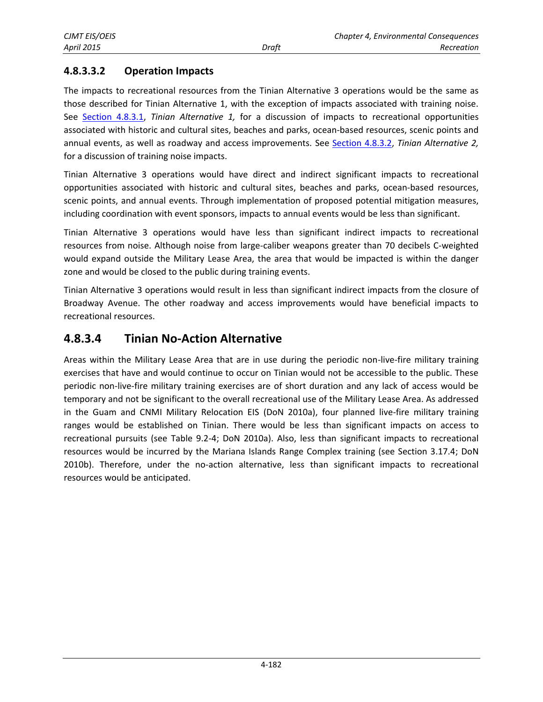## **4.8.3.3.2 Operation Impacts**

The impacts to recreational resources from the Tinian Alternative 3 operations would be the same as those described for Tinian Alternative 1, with the exception of impacts associated with training noise. See [Section 4.8.3.1](#page-2-0), *Tinian Alternative 1,* for a discussion of impacts to recreational opportunities associated with historic and cultural sites, beaches and parks, ocean-based resources, scenic points and annual events, as well as roadway and access improvements. See [Section 4.8.3.2](#page-9-0), *Tinian Alternative 2,*  for a discussion of training noise impacts.

Tinian Alternative 3 operations would have direct and indirect significant impacts to recreational opportunities associated with historic and cultural sites, beaches and parks, ocean-based resources, scenic points, and annual events. Through implementation of proposed potential mitigation measures, including coordination with event sponsors, impacts to annual events would be less than significant.

Tinian Alternative 3 operations would have less than significant indirect impacts to recreational resources from noise. Although noise from large-caliber weapons greater than 70 decibels C-weighted would expand outside the Military Lease Area, the area that would be impacted is within the danger zone and would be closed to the public during training events.

Tinian Alternative 3 operations would result in less than significant indirect impacts from the closure of Broadway Avenue. The other roadway and access improvements would have beneficial impacts to recreational resources.

## **4.8.3.4 Tinian No-Action Alternative**

Areas within the Military Lease Area that are in use during the periodic non-live-fire military training exercises that have and would continue to occur on Tinian would not be accessible to the public. These periodic non-live-fire military training exercises are of short duration and any lack of access would be temporary and not be significant to the overall recreational use of the Military Lease Area. As addressed in the Guam and CNMI Military Relocation EIS (DoN 2010a), four planned live-fire military training ranges would be established on Tinian. There would be less than significant impacts on access to recreational pursuits (see Table 9.2-4; DoN 2010a). Also, less than significant impacts to recreational resources would be incurred by the Mariana Islands Range Complex training (see Section 3.17.4; DoN 2010b). Therefore, under the no-action alternative, less than significant impacts to recreational resources would be anticipated.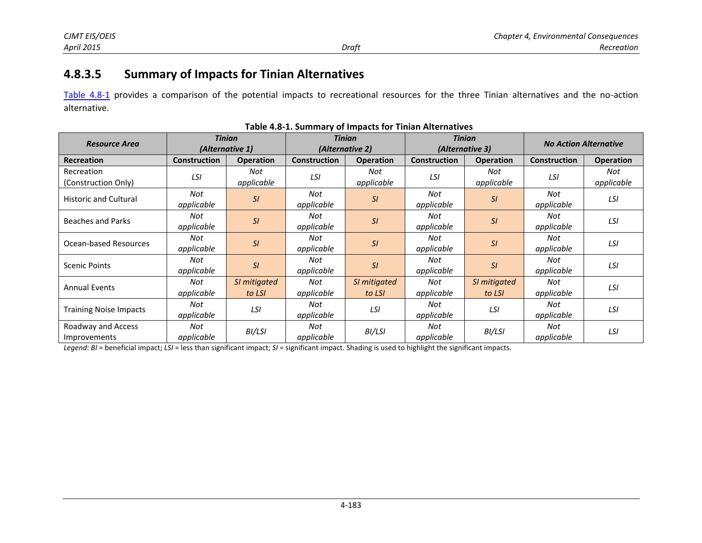# **4.8.3.5 Summary of Impacts for Tinian Alternatives**

[Table 4.8-1](#page-11-0) provides a comparison of the potential impacts to recreational resources for the three Tinian alternatives and the no-action alternative.

| <b>Resource Area</b>               | <b>Tinian</b><br>(Alternative 1) |                        | <b>Tinian</b><br>(Alternative 2) |                        | <b>Tinian</b><br>(Alternative 3) |                        |                          | <b>No Action Alternative</b> |
|------------------------------------|----------------------------------|------------------------|----------------------------------|------------------------|----------------------------------|------------------------|--------------------------|------------------------------|
| <b>Recreation</b>                  | <b>Construction</b>              | <b>Operation</b>       | <b>Construction</b>              | <b>Operation</b>       | <b>Construction</b>              | <b>Operation</b>       | <b>Construction</b>      | <b>Operation</b>             |
| Recreation<br>(Construction Only)  | LSI                              | Not<br>applicable      | LSI                              | Not<br>applicable      | LSI                              | Not<br>applicable      | LSI                      | Not<br>applicable            |
| <b>Historic and Cultural</b>       | Not<br>applicable                | SI                     | Not<br>applicable                | SI                     | Not<br>applicable                | SI                     | Not<br>LSI<br>applicable |                              |
| <b>Beaches and Parks</b>           | Not<br>applicable                | SI                     | Not<br>applicable                | SI                     | Not<br>applicable                | SI                     | Not<br>applicable        | LSI                          |
| Ocean-based Resources              | Not<br>applicable                | SI                     | Not<br>applicable                | SI                     | Not<br>applicable                | SI                     | Not<br>applicable        | LSI                          |
| <b>Scenic Points</b>               | Not<br>applicable                | SI                     | Not<br>applicable                | SI                     | Not<br>applicable                | SI                     | Not<br>applicable        | LSI                          |
| <b>Annual Events</b>               | Not<br>applicable                | SI mitigated<br>to LSI | Not<br>applicable                | SI mitigated<br>to LSI | Not<br>applicable                | SI mitigated<br>to LSI | Not<br>applicable        | LSI                          |
| <b>Training Noise Impacts</b>      | Not<br>applicable                | LSI                    | Not<br>applicable                | <b>LSI</b>             | Not<br>applicable                | <b>LSI</b>             | Not<br>applicable        | LSI                          |
| Roadway and Access<br>Improvements | Not<br>applicable                | BI/LSI                 | Not<br>applicable                | BI/LSI                 | Not<br>applicable                | BI/LSI                 | Not<br>applicable        | LSI                          |

<span id="page-11-0"></span>

| Table 4.8-1. Summary of Impacts for Tinian Alternatives |  |  |
|---------------------------------------------------------|--|--|
|---------------------------------------------------------|--|--|

*Legend*: *BI* = beneficial impact; *LSI* = less than significant impact; *SI* = significant impact. Shading is used to highlight the significant impacts.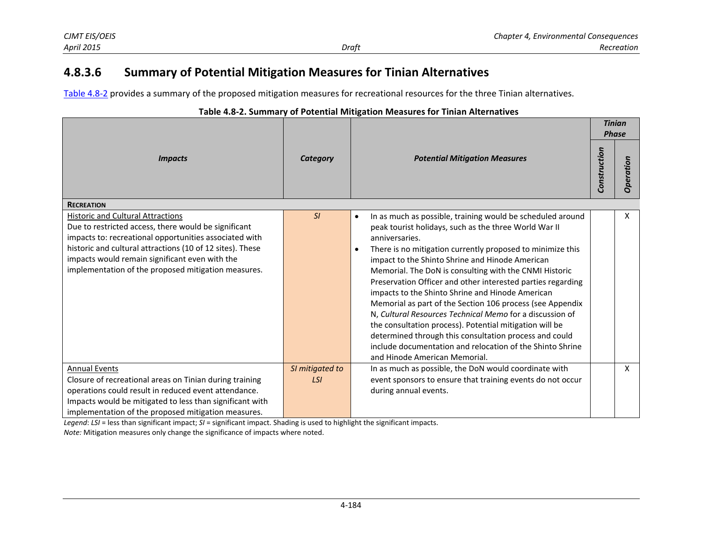# **4.8.3.6 Summary of Potential Mitigation Measures for Tinian Alternatives**

[Table 4.8-2](#page-12-0) provides a summary of the proposed mitigation measures for recreational resources for the three Tinian alternatives.

| adic +10 E. Summary or Fotomar mitigation measures for Timum Anternatives                                                                                                                                                                                                                                                        |                 | <b>Potential Mitigation Measures</b>                                                                                                                                                                                                                                                                                                                                                                                                                                                                                                                                                                                                                                                                                                                                                 |  | <b>Tinian</b><br><b>Phase</b> |
|----------------------------------------------------------------------------------------------------------------------------------------------------------------------------------------------------------------------------------------------------------------------------------------------------------------------------------|-----------------|--------------------------------------------------------------------------------------------------------------------------------------------------------------------------------------------------------------------------------------------------------------------------------------------------------------------------------------------------------------------------------------------------------------------------------------------------------------------------------------------------------------------------------------------------------------------------------------------------------------------------------------------------------------------------------------------------------------------------------------------------------------------------------------|--|-------------------------------|
| <b>Impacts</b>                                                                                                                                                                                                                                                                                                                   | <b>Category</b> |                                                                                                                                                                                                                                                                                                                                                                                                                                                                                                                                                                                                                                                                                                                                                                                      |  | eration<br>g                  |
| <b>RECREATION</b>                                                                                                                                                                                                                                                                                                                |                 |                                                                                                                                                                                                                                                                                                                                                                                                                                                                                                                                                                                                                                                                                                                                                                                      |  |                               |
| <b>Historic and Cultural Attractions</b><br>Due to restricted access, there would be significant<br>impacts to: recreational opportunities associated with<br>historic and cultural attractions (10 of 12 sites). These<br>impacts would remain significant even with the<br>implementation of the proposed mitigation measures. | SI              | In as much as possible, training would be scheduled around<br>٠<br>peak tourist holidays, such as the three World War II<br>anniversaries.<br>There is no mitigation currently proposed to minimize this<br>impact to the Shinto Shrine and Hinode American<br>Memorial. The DoN is consulting with the CNMI Historic<br>Preservation Officer and other interested parties regarding<br>impacts to the Shinto Shrine and Hinode American<br>Memorial as part of the Section 106 process (see Appendix<br>N, Cultural Resources Technical Memo for a discussion of<br>the consultation process). Potential mitigation will be<br>determined through this consultation process and could<br>include documentation and relocation of the Shinto Shrine<br>and Hinode American Memorial. |  | X                             |
| <b>Annual Events</b>                                                                                                                                                                                                                                                                                                             | SI mitigated to | In as much as possible, the DoN would coordinate with                                                                                                                                                                                                                                                                                                                                                                                                                                                                                                                                                                                                                                                                                                                                |  | X                             |
| Closure of recreational areas on Tinian during training                                                                                                                                                                                                                                                                          | <b>LSI</b>      | event sponsors to ensure that training events do not occur                                                                                                                                                                                                                                                                                                                                                                                                                                                                                                                                                                                                                                                                                                                           |  |                               |
| operations could result in reduced event attendance.                                                                                                                                                                                                                                                                             |                 | during annual events.                                                                                                                                                                                                                                                                                                                                                                                                                                                                                                                                                                                                                                                                                                                                                                |  |                               |
| Impacts would be mitigated to less than significant with                                                                                                                                                                                                                                                                         |                 |                                                                                                                                                                                                                                                                                                                                                                                                                                                                                                                                                                                                                                                                                                                                                                                      |  |                               |
| implementation of the proposed mitigation measures.                                                                                                                                                                                                                                                                              |                 |                                                                                                                                                                                                                                                                                                                                                                                                                                                                                                                                                                                                                                                                                                                                                                                      |  |                               |

### <span id="page-12-0"></span>**Table 4.8-2. Summary of Potential Mitigation Measures for Tinian Alternatives**

*Legend*: *LSI* = less than significant impact; *SI* = significant impact. Shading is used to highlight the significant impacts. *Note:* Mitigation measures only change the significance of impacts where noted.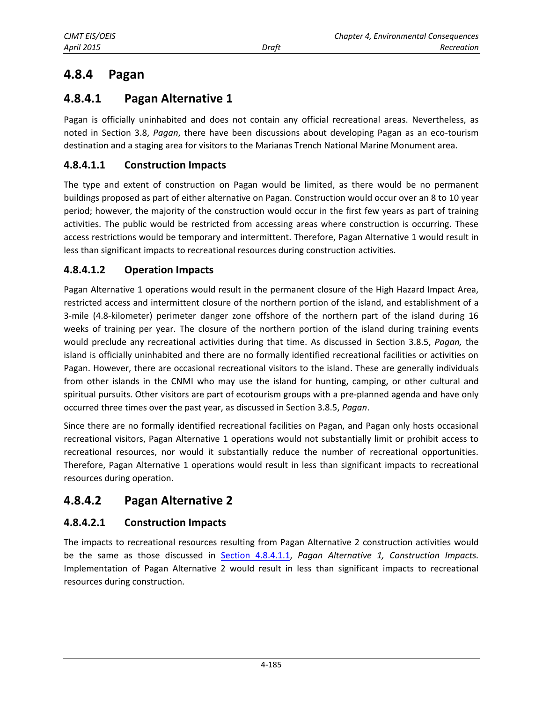# <span id="page-13-0"></span>**4.8.4 Pagan**

# **4.8.4.1 Pagan Alternative 1**

Pagan is officially uninhabited and does not contain any official recreational areas. Nevertheless, as noted in Section 3.8, *Pagan*, there have been discussions about developing Pagan as an eco-tourism destination and a staging area for visitors to the Marianas Trench National Marine Monument area.

## **4.8.4.1.1 Construction Impacts**

The type and extent of construction on Pagan would be limited, as there would be no permanent buildings proposed as part of either alternative on Pagan. Construction would occur over an 8 to 10 year period; however, the majority of the construction would occur in the first few years as part of training activities. The public would be restricted from accessing areas where construction is occurring. These access restrictions would be temporary and intermittent. Therefore, Pagan Alternative 1 would result in less than significant impacts to recreational resources during construction activities.

## **4.8.4.1.2 Operation Impacts**

Pagan Alternative 1 operations would result in the permanent closure of the High Hazard Impact Area, restricted access and intermittent closure of the northern portion of the island, and establishment of a 3-mile (4.8-kilometer) perimeter danger zone offshore of the northern part of the island during 16 weeks of training per year. The closure of the northern portion of the island during training events would preclude any recreational activities during that time. As discussed in Section 3.8.5, *Pagan,* the island is officially uninhabited and there are no formally identified recreational facilities or activities on Pagan. However, there are occasional recreational visitors to the island. These are generally individuals from other islands in the CNMI who may use the island for hunting, camping, or other cultural and spiritual pursuits. Other visitors are part of ecotourism groups with a pre-planned agenda and have only occurred three times over the past year, as discussed in Section 3.8.5, *Pagan*.

Since there are no formally identified recreational facilities on Pagan, and Pagan only hosts occasional recreational visitors, Pagan Alternative 1 operations would not substantially limit or prohibit access to recreational resources, nor would it substantially reduce the number of recreational opportunities. Therefore, Pagan Alternative 1 operations would result in less than significant impacts to recreational resources during operation.

# **4.8.4.2 Pagan Alternative 2**

## **4.8.4.2.1 Construction Impacts**

The impacts to recreational resources resulting from Pagan Alternative 2 construction activities would be the same as those discussed in Section 4.8.4.1.1, *Pagan Alternative 1, Construction Impacts.*  Implementation of Pagan Alternative 2 would result in less than significant impacts to recreational resources during construction.